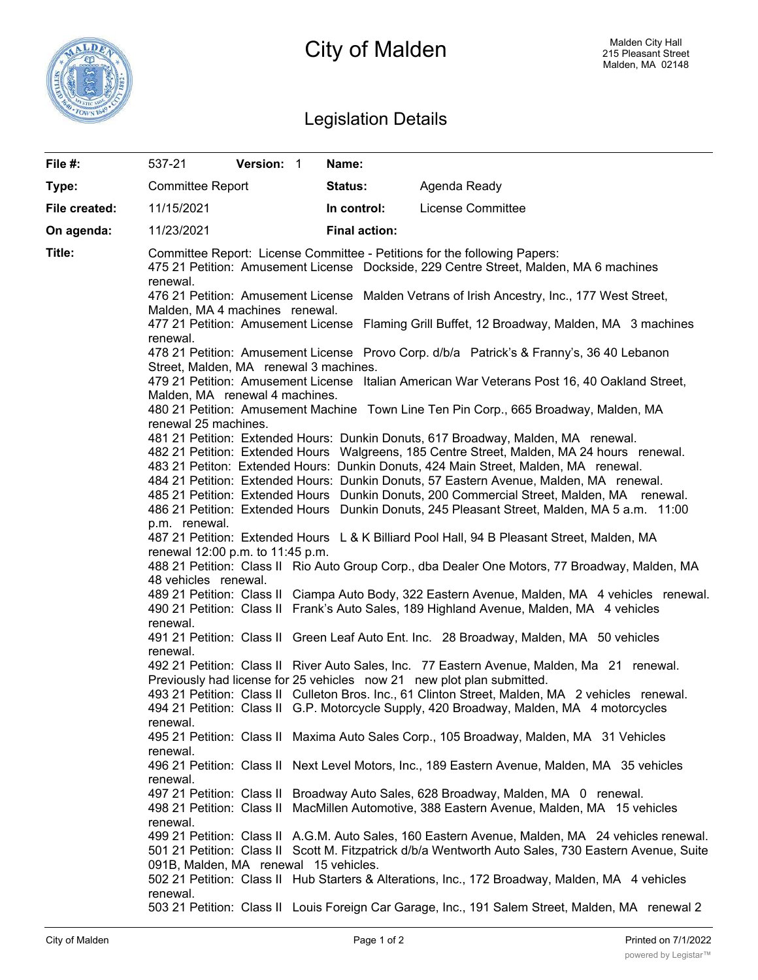

# City of Malden

## Legislation Details

| File #:       | 537-21                                                                                                                                                                                                                 | Version: 1 |  | Name:                |                                                                                                                                                                                                                                                                                    |  |  |  |
|---------------|------------------------------------------------------------------------------------------------------------------------------------------------------------------------------------------------------------------------|------------|--|----------------------|------------------------------------------------------------------------------------------------------------------------------------------------------------------------------------------------------------------------------------------------------------------------------------|--|--|--|
| Type:         | <b>Committee Report</b>                                                                                                                                                                                                |            |  | Status:              | Agenda Ready                                                                                                                                                                                                                                                                       |  |  |  |
| File created: | 11/15/2021                                                                                                                                                                                                             |            |  | In control:          | License Committee                                                                                                                                                                                                                                                                  |  |  |  |
| On agenda:    | 11/23/2021                                                                                                                                                                                                             |            |  | <b>Final action:</b> |                                                                                                                                                                                                                                                                                    |  |  |  |
| Title:        | renewal.                                                                                                                                                                                                               |            |  |                      | Committee Report: License Committee - Petitions for the following Papers:<br>475 21 Petition: Amusement License Dockside, 229 Centre Street, Malden, MA 6 machines                                                                                                                 |  |  |  |
|               | 476 21 Petition: Amusement License Malden Vetrans of Irish Ancestry, Inc., 177 West Street,<br>Malden, MA 4 machines renewal.                                                                                          |            |  |                      |                                                                                                                                                                                                                                                                                    |  |  |  |
|               | 477 21 Petition: Amusement License Flaming Grill Buffet, 12 Broadway, Malden, MA 3 machines<br>renewal.                                                                                                                |            |  |                      |                                                                                                                                                                                                                                                                                    |  |  |  |
|               | 478 21 Petition: Amusement License Provo Corp. d/b/a Patrick's & Franny's, 36 40 Lebanon<br>Street, Malden, MA renewal 3 machines.                                                                                     |            |  |                      |                                                                                                                                                                                                                                                                                    |  |  |  |
|               | 479 21 Petition: Amusement License Italian American War Veterans Post 16, 40 Oakland Street,<br>Malden, MA renewal 4 machines.<br>480 21 Petition: Amusement Machine Town Line Ten Pin Corp., 665 Broadway, Malden, MA |            |  |                      |                                                                                                                                                                                                                                                                                    |  |  |  |
|               | renewal 25 machines.                                                                                                                                                                                                   |            |  |                      |                                                                                                                                                                                                                                                                                    |  |  |  |
|               |                                                                                                                                                                                                                        |            |  |                      | 481 21 Petition: Extended Hours: Dunkin Donuts, 617 Broadway, Malden, MA renewal.<br>482 21 Petition: Extended Hours Walgreens, 185 Centre Street, Malden, MA 24 hours renewal.<br>483 21 Petiton: Extended Hours: Dunkin Donuts, 424 Main Street, Malden, MA renewal.             |  |  |  |
|               |                                                                                                                                                                                                                        |            |  |                      | 484 21 Petition: Extended Hours: Dunkin Donuts, 57 Eastern Avenue, Malden, MA renewal.<br>485 21 Petition: Extended Hours Dunkin Donuts, 200 Commercial Street, Malden, MA renewal.<br>486 21 Petition: Extended Hours Dunkin Donuts, 245 Pleasant Street, Malden, MA 5 a.m. 11:00 |  |  |  |
|               | p.m. renewal.                                                                                                                                                                                                          |            |  |                      | 487 21 Petition: Extended Hours L & K Billiard Pool Hall, 94 B Pleasant Street, Malden, MA                                                                                                                                                                                         |  |  |  |
|               | renewal 12:00 p.m. to 11:45 p.m.<br>488 21 Petition: Class II Rio Auto Group Corp., dba Dealer One Motors, 77 Broadway, Malden, MA<br>48 vehicles renewal.                                                             |            |  |                      |                                                                                                                                                                                                                                                                                    |  |  |  |
|               | renewal.                                                                                                                                                                                                               |            |  |                      | 489 21 Petition: Class II Ciampa Auto Body, 322 Eastern Avenue, Malden, MA 4 vehicles renewal.<br>490 21 Petition: Class II Frank's Auto Sales, 189 Highland Avenue, Malden, MA 4 vehicles                                                                                         |  |  |  |
|               | renewal.                                                                                                                                                                                                               |            |  |                      | 491 21 Petition: Class II Green Leaf Auto Ent. Inc. 28 Broadway, Malden, MA 50 vehicles                                                                                                                                                                                            |  |  |  |
|               |                                                                                                                                                                                                                        |            |  |                      | 492 21 Petition: Class II River Auto Sales, Inc. 77 Eastern Avenue, Malden, Ma 21 renewal.<br>Previously had license for 25 vehicles now 21 new plot plan submitted.                                                                                                               |  |  |  |
|               | renewal.                                                                                                                                                                                                               |            |  |                      | 493 21 Petition: Class II Culleton Bros. Inc., 61 Clinton Street, Malden, MA 2 vehicles renewal.<br>494 21 Petition: Class II G.P. Motorcycle Supply, 420 Broadway, Malden, MA 4 motorcycles                                                                                       |  |  |  |
|               | renewal.                                                                                                                                                                                                               |            |  |                      | 495 21 Petition: Class II Maxima Auto Sales Corp., 105 Broadway, Malden, MA 31 Vehicles                                                                                                                                                                                            |  |  |  |
|               | renewal.                                                                                                                                                                                                               |            |  |                      | 496 21 Petition: Class II Next Level Motors, Inc., 189 Eastern Avenue, Malden, MA 35 vehicles                                                                                                                                                                                      |  |  |  |
|               | renewal.                                                                                                                                                                                                               |            |  |                      | 497 21 Petition: Class II Broadway Auto Sales, 628 Broadway, Malden, MA 0 renewal.<br>498 21 Petition: Class II MacMillen Automotive, 388 Eastern Avenue, Malden, MA 15 vehicles                                                                                                   |  |  |  |
|               |                                                                                                                                                                                                                        |            |  |                      | 499 21 Petition: Class II A.G.M. Auto Sales, 160 Eastern Avenue, Malden, MA 24 vehicles renewal.<br>501 21 Petition: Class II Scott M. Fitzpatrick d/b/a Wentworth Auto Sales, 730 Eastern Avenue, Suite                                                                           |  |  |  |
|               | 091B, Malden, MA renewal 15 vehicles.                                                                                                                                                                                  |            |  |                      | 502 21 Petition: Class II Hub Starters & Alterations, Inc., 172 Broadway, Malden, MA 4 vehicles                                                                                                                                                                                    |  |  |  |
|               | renewal.                                                                                                                                                                                                               |            |  |                      | 503 21 Petition: Class II Louis Foreign Car Garage, Inc., 191 Salem Street, Malden, MA renewal 2                                                                                                                                                                                   |  |  |  |